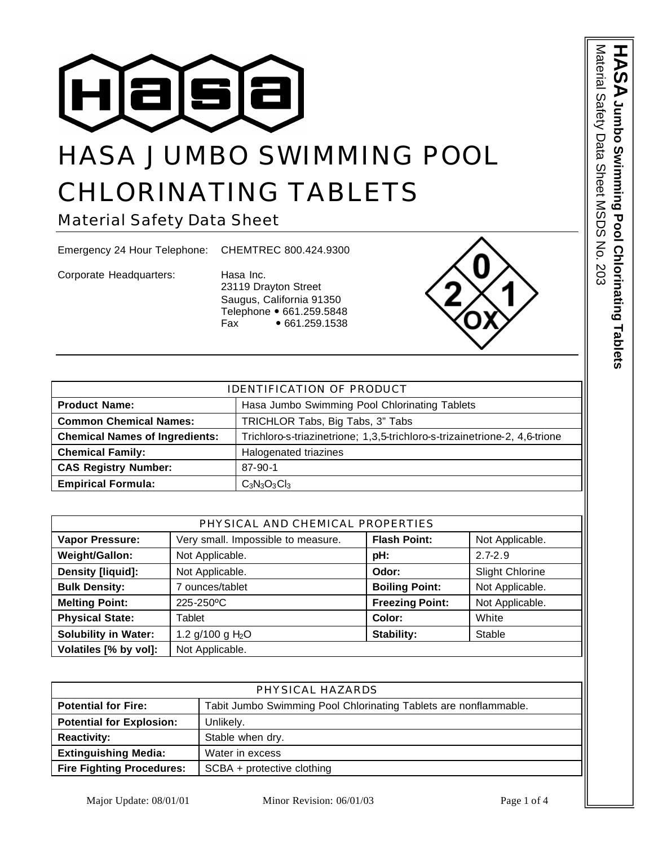

# HASA JUMBO SWIMMING POOL CHLORINATING TABLETS

Material Safety Data Sheet

Emergency 24 Hour Telephone: CHEMTREC 800.424.9300

Corporate Headquarters: Hasa Inc.

23119 Drayton Street Saugus, California 91350 Telephone • 661.259.5848 Fax • 661.259.1538



| PHYSICAL AND CHEMICAL PROPERTIES |                                    |                        |                        |
|----------------------------------|------------------------------------|------------------------|------------------------|
| <b>Vapor Pressure:</b>           | Very small. Impossible to measure. | <b>Flash Point:</b>    | Not Applicable.        |
| Weight/Gallon:                   | Not Applicable.                    | pH:                    | $2.7 - 2.9$            |
| Density [liquid]:                | Not Applicable.                    | Odor:                  | <b>Slight Chlorine</b> |
| <b>Bulk Density:</b>             | 7 ounces/tablet                    | <b>Boiling Point:</b>  | Not Applicable.        |
| <b>Melting Point:</b>            | 225-250°C                          | <b>Freezing Point:</b> | Not Applicable.        |
| <b>Physical State:</b>           | Tablet                             | Color:                 | White                  |
| <b>Solubility in Water:</b>      | 1.2 g/100 g $H_2O$                 | Stability:             | Stable                 |
| Volatiles [% by vol]:            | Not Applicable.                    |                        |                        |

| PHYSICAL HAZARDS                                                 |  |  |
|------------------------------------------------------------------|--|--|
| Tabit Jumbo Swimming Pool Chlorinating Tablets are nonflammable. |  |  |
| Unlikely.                                                        |  |  |
| Stable when dry.                                                 |  |  |
| Water in excess                                                  |  |  |
| SCBA + protective clothing                                       |  |  |
|                                                                  |  |  |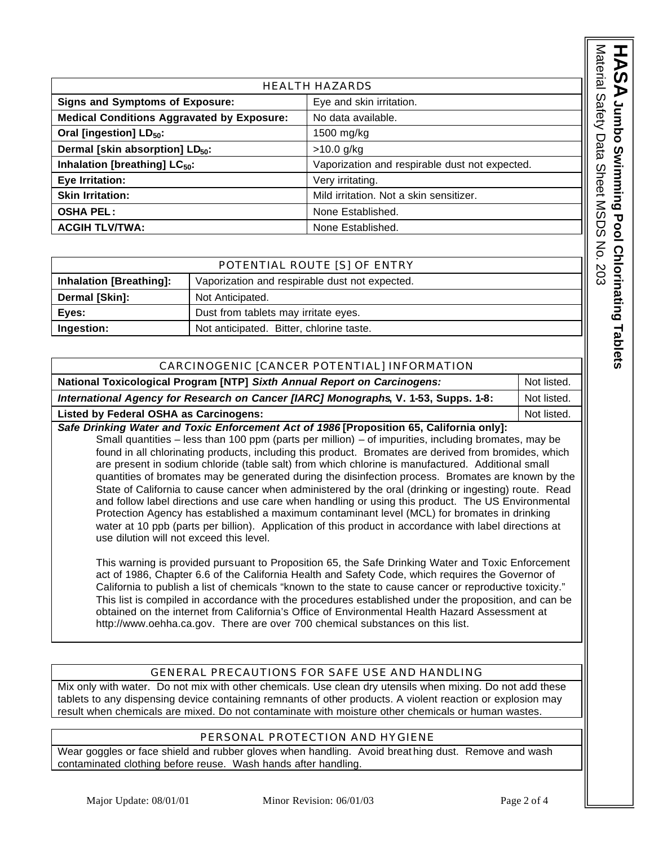| <b>HEALTH HAZARDS</b>                             |                                                |  |
|---------------------------------------------------|------------------------------------------------|--|
| <b>Signs and Symptoms of Exposure:</b>            | Eye and skin irritation.                       |  |
| <b>Medical Conditions Aggravated by Exposure:</b> | No data available.                             |  |
| Oral [ingestion] LD <sub>50</sub> :               | 1500 mg/kg                                     |  |
| Dermal [skin absorption] LD <sub>50</sub> :       | $>10.0$ g/kg                                   |  |
| Inhalation [breathing] LC <sub>50</sub> :         | Vaporization and respirable dust not expected. |  |
| Eye Irritation:                                   | Very irritating.                               |  |
| <b>Skin Irritation:</b>                           | Mild irritation. Not a skin sensitizer.        |  |
| <b>OSHA PEL:</b>                                  | None Established.                              |  |
| <b>ACGIH TLV/TWA:</b>                             | None Established.                              |  |

### POTENTIAL ROUTE [S] OF ENTRY

| <u>I OILIVIIINE INOUTE IOI OI EIVIINT</u> |                                                |  |
|-------------------------------------------|------------------------------------------------|--|
| <b>Inhalation [Breathing]:</b>            | Vaporization and respirable dust not expected. |  |
| Dermal [Skin]:                            | Not Anticipated.                               |  |
| Eves:                                     | Dust from tablets may irritate eyes.           |  |
| Ingestion:                                | Not anticipated. Bitter, chlorine taste.       |  |

| CARCINOGENIC [CANCER POTENTIAL] INFORMATION                                              |             |  |
|------------------------------------------------------------------------------------------|-------------|--|
| <b>National Toxicological Program [NTP] Sixth Annual Report on Carcinogens:</b>          | Not listed. |  |
| International Agency for Research on Cancer [IARC] Monographs, V. 1-53, Supps. 1-8:      | Not listed. |  |
| Listed by Federal OSHA as Carcinogens:                                                   | Not listed. |  |
| Safe Drinking Water and Toxic Enforcement Act of 1986 [Proposition 65, California only]: |             |  |

Small quantities – less than 100 ppm (parts per million) – of impurities, including bromates, may be found in all chlorinating products, including this product. Bromates are derived from bromides, which are present in sodium chloride (table salt) from which chlorine is manufactured. Additional small quantities of bromates may be generated during the disinfection process. Bromates are known by the State of California to cause cancer when administered by the oral (drinking or ingesting) route. Read and follow label directions and use care when handling or using this product. The US Environmental Protection Agency has established a maximum contaminant level (MCL) for bromates in drinking water at 10 ppb (parts per billion). Application of this product in accordance with label directions at use dilution will not exceed this level.

This warning is provided pursuant to Proposition 65, the Safe Drinking Water and Toxic Enforcement act of 1986, Chapter 6.6 of the California Health and Safety Code, which requires the Governor of California to publish a list of chemicals "known to the state to cause cancer or reproductive toxicity." This list is compiled in accordance with the procedures established under the proposition, and can be obtained on the internet from California's Office of Environmental Health Hazard Assessment at http://www.oehha.ca.gov. There are over 700 chemical substances on this list.

## GENERAL PRECAUTIONS FOR SAFE USE AND HANDLING

Mix only with water. Do not mix with other chemicals. Use clean dry utensils when mixing. Do not add these tablets to any dispensing device containing remnants of other products. A violent reaction or explosion may result when chemicals are mixed. Do not contaminate with moisture other chemicals or human wastes.

## PERSONAL PROTECTION AND HYGIENE

Wear goggles or face shield and rubber gloves when handling. Avoid breat hing dust. Remove and wash contaminated clothing before reuse. Wash hands after handling.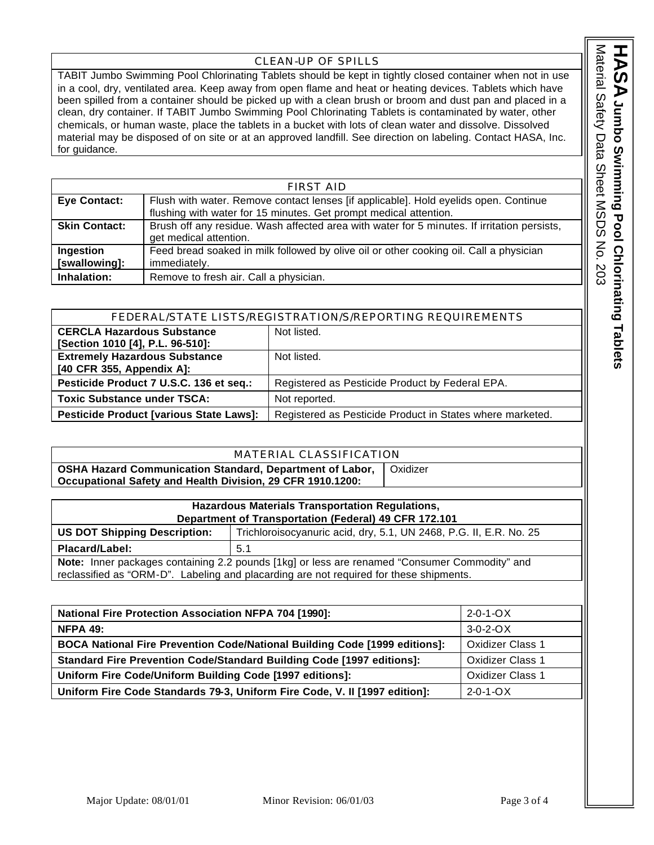#### CLEAN-UP OF SPILLS

TABIT Jumbo Swimming Pool Chlorinating Tablets should be kept in tightly closed container when not in use in a cool, dry, ventilated area. Keep away from open flame and heat or heating devices. Tablets which have been spilled from a container should be picked up with a clean brush or broom and dust pan and placed in a clean, dry container. If TABIT Jumbo Swimming Pool Chlorinating Tablets is contaminated by water, other chemicals, or human waste, place the tablets in a bucket with lots of clean water and dissolve. Dissolved material may be disposed of on site or at an approved landfill. See direction on labeling. Contact HASA, Inc. for guidance.

| <b>FIRST AID</b>     |                                                                                             |  |
|----------------------|---------------------------------------------------------------------------------------------|--|
| <b>Eye Contact:</b>  | Flush with water. Remove contact lenses [if applicable]. Hold eyelids open. Continue        |  |
|                      | flushing with water for 15 minutes. Get prompt medical attention.                           |  |
| <b>Skin Contact:</b> | Brush off any residue. Wash affected area with water for 5 minutes. If irritation persists, |  |
|                      | get medical attention.                                                                      |  |
| Ingestion            | Feed bread soaked in milk followed by olive oil or other cooking oil. Call a physician      |  |
| [swallowing]:        | immediately.                                                                                |  |
| Inhalation:          | Remove to fresh air. Call a physician.                                                      |  |

| FEDERAL/STATE LISTS/REGISTRATION/S/REPORTING REQUIREMENTS |                                                           |
|-----------------------------------------------------------|-----------------------------------------------------------|
| <b>CERCLA Hazardous Substance</b>                         | Not listed.                                               |
| [Section 1010 [4], P.L. 96-510]:                          |                                                           |
| <b>Extremely Hazardous Substance</b>                      | Not listed.                                               |
| [40 CFR 355, Appendix A]:                                 |                                                           |
| Pesticide Product 7 U.S.C. 136 et seq.:                   | Registered as Pesticide Product by Federal EPA.           |
| <b>Toxic Substance under TSCA:</b>                        | Not reported.                                             |
| <b>Pesticide Product [various State Laws]:</b>            | Registered as Pesticide Product in States where marketed. |

| MATERIAL CLASSIFICATION                                                                                                       |          |  |
|-------------------------------------------------------------------------------------------------------------------------------|----------|--|
| <b>OSHA Hazard Communication Standard, Department of Labor,</b><br>Occupational Safety and Health Division, 29 CFR 1910.1200: | Oxidizer |  |

| <b>Hazardous Materials Transportation Regulations,</b>                                               |                                                                    |  |
|------------------------------------------------------------------------------------------------------|--------------------------------------------------------------------|--|
| Department of Transportation (Federal) 49 CFR 172.101                                                |                                                                    |  |
| <b>US DOT Shipping Description:</b>                                                                  | Trichloroisocyanuric acid, dry, 5.1, UN 2468, P.G. II, E.R. No. 25 |  |
| Placard/Label:                                                                                       | 5.1                                                                |  |
| <b>Note:</b> Inner packages containing 2.2 pounds [1kg] or less are renamed "Consumer Commodity" and |                                                                    |  |
| reclassified as "ORM-D". Labeling and placarding are not required for these shipments.               |                                                                    |  |

| <b>National Fire Protection Association NFPA 704 [1990]:</b>                      | $2 - 0 - 1 - OX$        |
|-----------------------------------------------------------------------------------|-------------------------|
| <b>NFPA 49:</b>                                                                   | $3-0-2-0X$              |
| <b>BOCA National Fire Prevention Code/National Building Code [1999 editions]:</b> | <b>Oxidizer Class 1</b> |
| <b>Standard Fire Prevention Code/Standard Building Code [1997 editions]:</b>      | <b>Oxidizer Class 1</b> |
| Uniform Fire Code/Uniform Building Code [1997 editions]:                          | <b>Oxidizer Class 1</b> |
| Uniform Fire Code Standards 79-3, Uniform Fire Code, V. II [1997 edition]:        | $2 - 0 - 1 - OX$        |